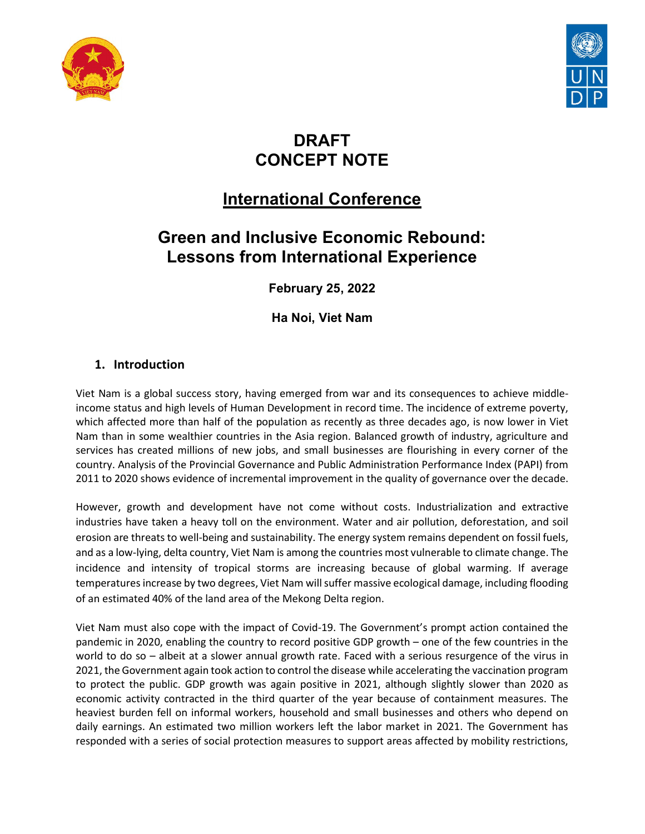



# DRAFT CONCEPT NOTE

# International Conference

# Green and Inclusive Economic Rebound: Lessons from International Experience

February 25, 2022

Ha Noi, Viet Nam

# 1. Introduction

Viet Nam is a global success story, having emerged from war and its consequences to achieve middleincome status and high levels of Human Development in record time. The incidence of extreme poverty, which affected more than half of the population as recently as three decades ago, is now lower in Viet Nam than in some wealthier countries in the Asia region. Balanced growth of industry, agriculture and services has created millions of new jobs, and small businesses are flourishing in every corner of the country. Analysis of the Provincial Governance and Public Administration Performance Index (PAPI) from 2011 to 2020 shows evidence of incremental improvement in the quality of governance over the decade.

However, growth and development have not come without costs. Industrialization and extractive industries have taken a heavy toll on the environment. Water and air pollution, deforestation, and soil erosion are threats to well-being and sustainability. The energy system remains dependent on fossil fuels, and as a low-lying, delta country, Viet Nam is among the countries most vulnerable to climate change. The incidence and intensity of tropical storms are increasing because of global warming. If average temperatures increase by two degrees, Viet Nam will suffer massive ecological damage, including flooding of an estimated 40% of the land area of the Mekong Delta region.

Viet Nam must also cope with the impact of Covid-19. The Government's prompt action contained the pandemic in 2020, enabling the country to record positive GDP growth – one of the few countries in the world to do so – albeit at a slower annual growth rate. Faced with a serious resurgence of the virus in 2021, the Government again took action to control the disease while accelerating the vaccination program to protect the public. GDP growth was again positive in 2021, although slightly slower than 2020 as economic activity contracted in the third quarter of the year because of containment measures. The heaviest burden fell on informal workers, household and small businesses and others who depend on daily earnings. An estimated two million workers left the labor market in 2021. The Government has responded with a series of social protection measures to support areas affected by mobility restrictions,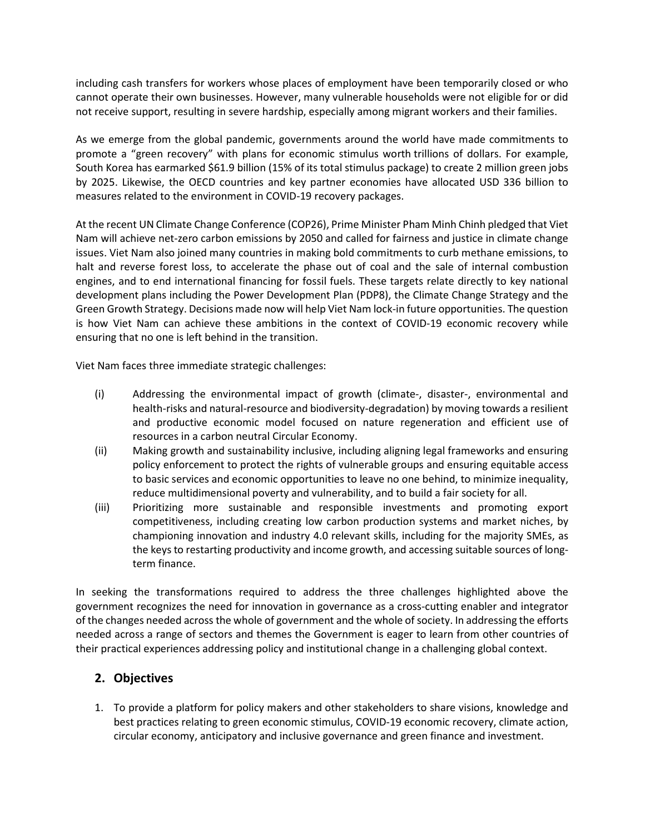including cash transfers for workers whose places of employment have been temporarily closed or who cannot operate their own businesses. However, many vulnerable households were not eligible for or did not receive support, resulting in severe hardship, especially among migrant workers and their families.

As we emerge from the global pandemic, governments around the world have made commitments to promote a "green recovery" with plans for economic stimulus worth trillions of dollars. For example, South Korea has earmarked \$61.9 billion (15% of its total stimulus package) to create 2 million green jobs by 2025. Likewise, the OECD countries and key partner economies have allocated USD 336 billion to measures related to the environment in COVID-19 recovery packages.

At the recent UN Climate Change Conference (COP26), Prime Minister Pham Minh Chinh pledged that Viet Nam will achieve net-zero carbon emissions by 2050 and called for fairness and justice in climate change issues. Viet Nam also joined many countries in making bold commitments to curb methane emissions, to halt and reverse forest loss, to accelerate the phase out of coal and the sale of internal combustion engines, and to end international financing for fossil fuels. These targets relate directly to key national development plans including the Power Development Plan (PDP8), the Climate Change Strategy and the Green Growth Strategy. Decisions made now will help Viet Nam lock-in future opportunities. The question is how Viet Nam can achieve these ambitions in the context of COVID-19 economic recovery while ensuring that no one is left behind in the transition.

Viet Nam faces three immediate strategic challenges:

- (i) Addressing the environmental impact of growth (climate-, disaster-, environmental and health-risks and natural-resource and biodiversity-degradation) by moving towards a resilient and productive economic model focused on nature regeneration and efficient use of resources in a carbon neutral Circular Economy.
- (ii) Making growth and sustainability inclusive, including aligning legal frameworks and ensuring policy enforcement to protect the rights of vulnerable groups and ensuring equitable access to basic services and economic opportunities to leave no one behind, to minimize inequality, reduce multidimensional poverty and vulnerability, and to build a fair society for all.
- (iii) Prioritizing more sustainable and responsible investments and promoting export competitiveness, including creating low carbon production systems and market niches, by championing innovation and industry 4.0 relevant skills, including for the majority SMEs, as the keys to restarting productivity and income growth, and accessing suitable sources of longterm finance.

In seeking the transformations required to address the three challenges highlighted above the government recognizes the need for innovation in governance as a cross-cutting enabler and integrator of the changes needed across the whole of government and the whole of society. In addressing the efforts needed across a range of sectors and themes the Government is eager to learn from other countries of their practical experiences addressing policy and institutional change in a challenging global context.

# 2. Objectives

1. To provide a platform for policy makers and other stakeholders to share visions, knowledge and best practices relating to green economic stimulus, COVID-19 economic recovery, climate action, circular economy, anticipatory and inclusive governance and green finance and investment.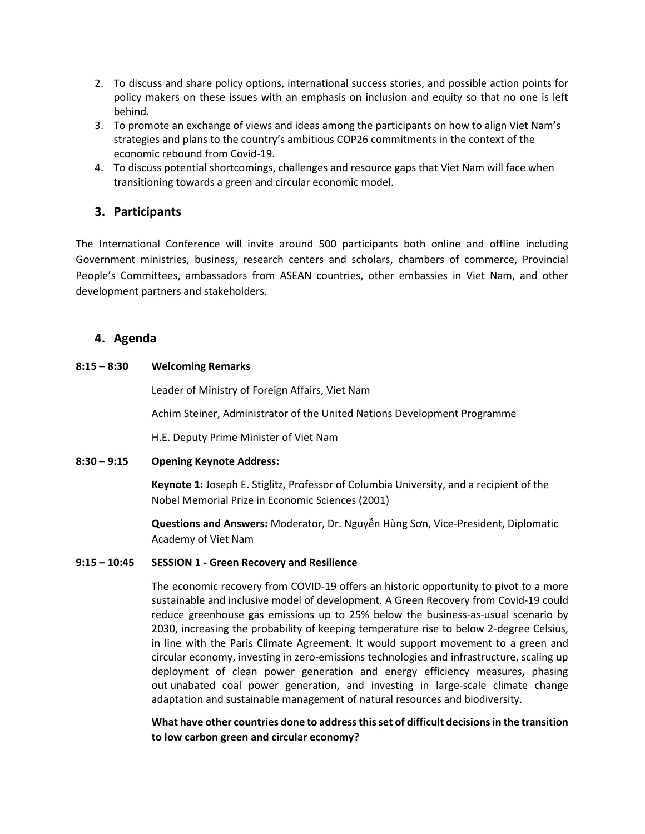- 2. To discuss and share policy options, international success stories, and possible action points for policy makers on these issues with an emphasis on inclusion and equity so that no one is left behind.
- 3. To promote an exchange of views and ideas among the participants on how to align Viet Nam's strategies and plans to the country's ambitious COP26 commitments in the context of the economic rebound from Covid-19.
- 4. To discuss potential shortcomings, challenges and resource gaps that Viet Nam will face when transitioning towards a green and circular economic model.

# 3. Participants

The International Conference will invite around 500 participants both online and offline including Government ministries, business, research centers and scholars, chambers of commerce, Provincial People's Committees, ambassadors from ASEAN countries, other embassies in Viet Nam, and other development partners and stakeholders.

## 4. Agenda

## 8:15 – 8:30 Welcoming Remarks

Leader of Ministry of Foreign Affairs, Viet Nam

Achim Steiner, Administrator of the United Nations Development Programme

H.E. Deputy Prime Minister of Viet Nam

## 8:30 – 9:15 Opening Keynote Address:

Keynote 1: Joseph E. Stiglitz, Professor of Columbia University, and a recipient of the Nobel Memorial Prize in Economic Sciences (2001)

Questions and Answers: Moderator, Dr. Nguyễn Hùng Sơn, Vice-President, Diplomatic Academy of Viet Nam

## 9:15 – 10:45 SESSION 1 - Green Recovery and Resilience

The economic recovery from COVID-19 offers an historic opportunity to pivot to a more sustainable and inclusive model of development. A Green Recovery from Covid-19 could reduce greenhouse gas emissions up to 25% below the business-as-usual scenario by 2030, increasing the probability of keeping temperature rise to below 2-degree Celsius, in line with the Paris Climate Agreement. It would support movement to a green and circular economy, investing in zero-emissions technologies and infrastructure, scaling up deployment of clean power generation and energy efficiency measures, phasing out unabated coal power generation, and investing in large-scale climate change adaptation and sustainable management of natural resources and biodiversity.

What have other countries done to address this set of difficult decisions in the transition to low carbon green and circular economy?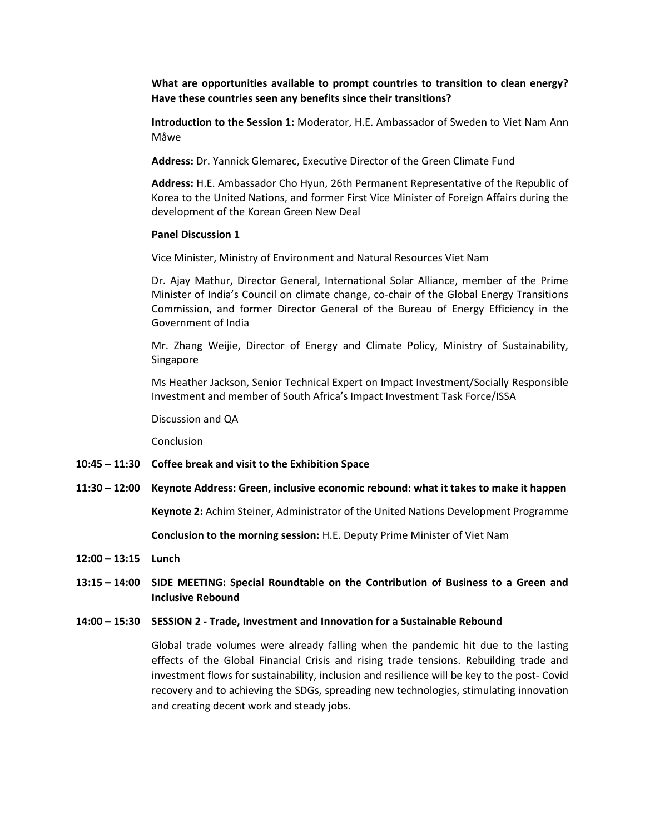What are opportunities available to prompt countries to transition to clean energy? Have these countries seen any benefits since their transitions?

Introduction to the Session 1: Moderator, H.E. Ambassador of Sweden to Viet Nam Ann Måwe

Address: Dr. Yannick Glemarec, Executive Director of the Green Climate Fund

Address: H.E. Ambassador Cho Hyun, 26th Permanent Representative of the Republic of Korea to the United Nations, and former First Vice Minister of Foreign Affairs during the development of the Korean Green New Deal

### Panel Discussion 1

Vice Minister, Ministry of Environment and Natural Resources Viet Nam

Dr. Ajay Mathur, Director General, International Solar Alliance, member of the Prime Minister of India's Council on climate change, co-chair of the Global Energy Transitions Commission, and former Director General of the Bureau of Energy Efficiency in the Government of India

Mr. Zhang Weijie, Director of Energy and Climate Policy, Ministry of Sustainability, Singapore

Ms Heather Jackson, Senior Technical Expert on Impact Investment/Socially Responsible Investment and member of South Africa's Impact Investment Task Force/ISSA

Discussion and QA

**Conclusion** 

- 10:45 11:30 Coffee break and visit to the Exhibition Space
- 11:30 12:00 Keynote Address: Green, inclusive economic rebound: what it takes to make it happen

Keynote 2: Achim Steiner, Administrator of the United Nations Development Programme

Conclusion to the morning session: H.E. Deputy Prime Minister of Viet Nam

12:00 – 13:15 Lunch

13:15 – 14:00 SIDE MEETING: Special Roundtable on the Contribution of Business to a Green and Inclusive Rebound

#### 14:00 – 15:30 SESSION 2 - Trade, Investment and Innovation for a Sustainable Rebound

Global trade volumes were already falling when the pandemic hit due to the lasting effects of the Global Financial Crisis and rising trade tensions. Rebuilding trade and investment flows for sustainability, inclusion and resilience will be key to the post- Covid recovery and to achieving the SDGs, spreading new technologies, stimulating innovation and creating decent work and steady jobs.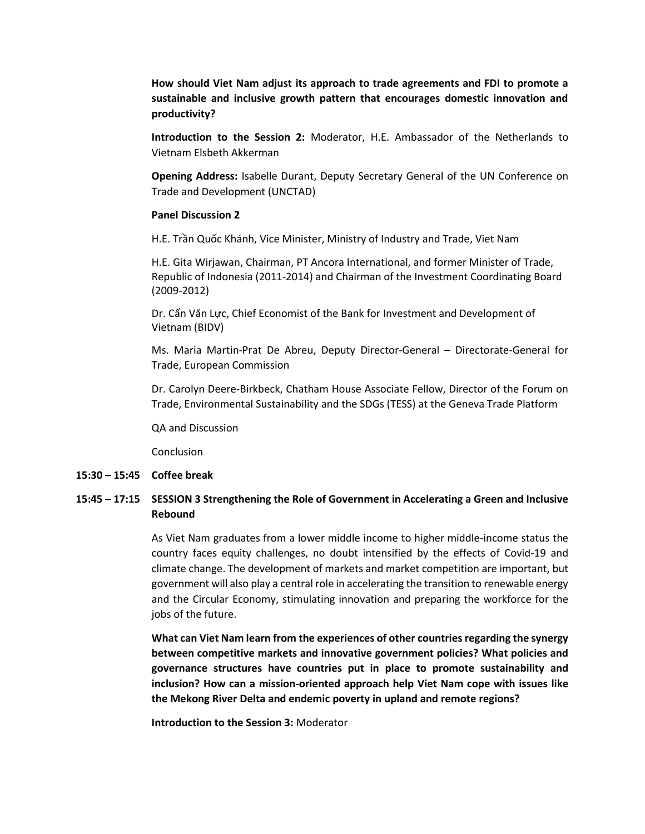How should Viet Nam adjust its approach to trade agreements and FDI to promote a sustainable and inclusive growth pattern that encourages domestic innovation and productivity?

Introduction to the Session 2: Moderator, H.E. Ambassador of the Netherlands to Vietnam Elsbeth Akkerman

Opening Address: Isabelle Durant, Deputy Secretary General of the UN Conference on Trade and Development (UNCTAD)

### Panel Discussion 2

H.E. Trần Quốc Khánh, Vice Minister, Ministry of Industry and Trade, Viet Nam

H.E. Gita Wirjawan, Chairman, PT Ancora International, and former Minister of Trade, Republic of Indonesia (2011-2014) and Chairman of the Investment Coordinating Board (2009-2012)

Dr. Cấn Văn Lực, Chief Economist of the Bank for Investment and Development of Vietnam (BIDV)

Ms. Maria Martin-Prat De Abreu, Deputy Director-General – Directorate-General for Trade, European Commission

Dr. Carolyn Deere-Birkbeck, Chatham House Associate Fellow, Director of the Forum on Trade, Environmental Sustainability and the SDGs (TESS) at the Geneva Trade Platform

QA and Discussion

Conclusion

#### 15:30 – 15:45 Coffee break

## 15:45 – 17:15 SESSION 3 Strengthening the Role of Government in Accelerating a Green and Inclusive Rebound

As Viet Nam graduates from a lower middle income to higher middle-income status the country faces equity challenges, no doubt intensified by the effects of Covid-19 and climate change. The development of markets and market competition are important, but government will also play a central role in accelerating the transition to renewable energy and the Circular Economy, stimulating innovation and preparing the workforce for the jobs of the future.

What can Viet Nam learn from the experiences of other countries regarding the synergy between competitive markets and innovative government policies? What policies and governance structures have countries put in place to promote sustainability and inclusion? How can a mission-oriented approach help Viet Nam cope with issues like the Mekong River Delta and endemic poverty in upland and remote regions?

Introduction to the Session 3: Moderator